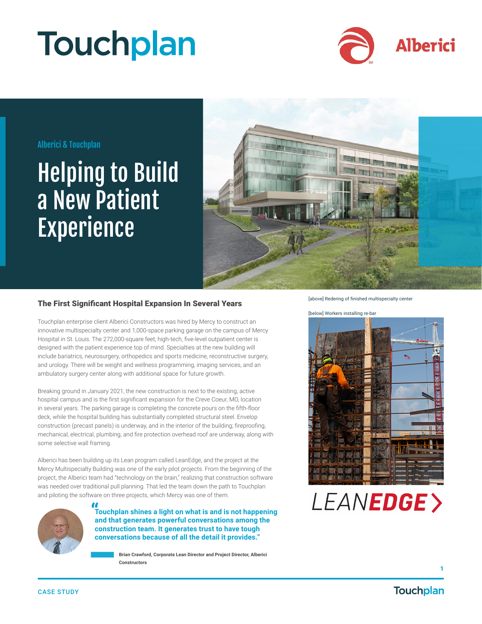# **Touchplan**



### Alberici & Touchplan

## Helping to Build a New Patient Experience



### The First Significant Hospital Expansion In Several Years

Touchplan enterprise client Alberici Constructors was hired by Mercy to construct an innovative multispecialty center and 1,000-space parking garage on the campus of Mercy Hospital in St. Louis. The 272,000-square feet, high-tech, five-level outpatient center is designed with the patient experience top of mind. Specialties at the new building will include bariatrics, neurosurgery, orthopedics and sports medicine, reconstructive surgery, and urology. There will be weight and wellness programming, imaging services, and an ambulatory surgery center along with additional space for future growth.

Breaking ground in January 2021, the new construction is next to the existing, active hospital campus and is the first significant expansion for the Creve Coeur, MO, location in several years. The parking garage is completing the concrete pours on the fifth-floor deck, while the hospital building has substantially completed structural steel. Envelop construction (precast panels) is underway, and in the interior of the building; fireproofing, mechanical, electrical, plumbing, and fire protection overhead roof are underway, along with some selective wall framing.

Alberici has been building up its Lean program called LeanEdge, and the project at the Mercy Multispecialty Building was one of the early pilot projects. From the beginning of the project, the Alberici team had "technology on the brain," realizing that construction software was needed over traditional pull planning. That led the team down the path to Touchplan and piloting the software on three projects, which Mercy was one of them.



**" Touchplan shines a light on what is and is not happening and that generates powerful conversations among the construction team. It generates trust to have tough conversations because of all the detail it provides."**

> **Brian Crawford, Corporate Lean Director and Project Director, Alberici Constructors**

[above] Redering of finished multispecialty center

[below] Workers installing re-bar





**1**